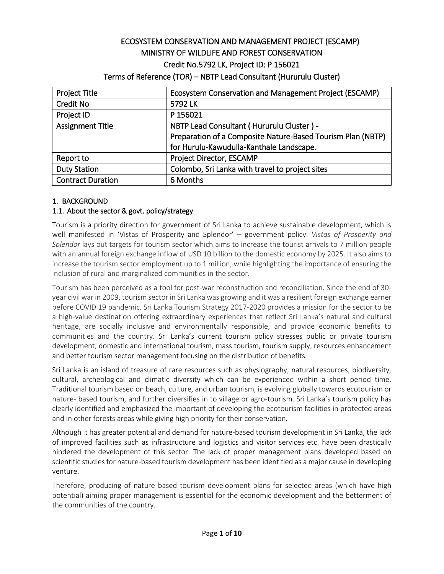# ECOSYSTEM CONSERVATION AND MANAGEMENT PROJECT (ESCAMP) MINISTRY OF WILDLIFE AND FOREST CONSERVATION Credit No.5792 LK, Project ID: P 156021

## Terms of Reference (TOR) – NBTP Lead Consultant (Hururulu Cluster)

| <b>Project Title</b>     | Ecosystem Conservation and Management Project (ESCAMP)      |  |  |
|--------------------------|-------------------------------------------------------------|--|--|
| <b>Credit No</b>         | 5792 LK                                                     |  |  |
| Project ID               | P 156021                                                    |  |  |
| <b>Assignment Title</b>  | NBTP Lead Consultant (Hururulu Cluster) -                   |  |  |
|                          | Preparation of a Composite Nature-Based Tourism Plan (NBTP) |  |  |
|                          | for Hurulu-Kawudulla-Kanthale Landscape.                    |  |  |
| Report to                | Project Director, ESCAMP                                    |  |  |
| <b>Duty Station</b>      | Colombo, Sri Lanka with travel to project sites             |  |  |
| <b>Contract Duration</b> | 6 Months                                                    |  |  |

## 1. BACKGROUND

# 1.1. About the sector & govt. policy/strategy

Tourism is a priority direction for government of Sri Lanka to achieve sustainable development, which is well manifested in 'Vistas of Prosperity and Splendor' – government policy. *Vistas of Prosperity and Splendor* lays out targets for tourism sector which aims to increase the tourist arrivals to 7 million people with an annual foreign exchange inflow of USD 10 billion to the domestic economy by 2025. It also aims to increase the tourism sector employment up to 1 million, while highlighting the importance of ensuring the inclusion of rural and marginalized communities in the sector.

Tourism has been perceived as a tool for post-war reconstruction and reconciliation. Since the end of 30 year civil war in 2009, tourism sector in Sri Lanka was growing and it was a resilient foreign exchange earner before COVID 19 pandemic. Sri Lanka Tourism Strategy 2017-2020 provides a mission for the sector to be a high-value destination offering extraordinary experiences that reflect Sri Lanka's natural and cultural heritage, are socially inclusive and environmentally responsible, and provide economic benefits to communities and the country. Sri Lanka's current tourism policy stresses public or private tourism development, domestic and international tourism, mass tourism, tourism supply, resources enhancement and better tourism sector management focusing on the distribution of benefits.

Sri Lanka is an island of treasure of rare resources such as physiography, natural resources, biodiversity, cultural, archeological and climatic diversity which can be experienced within a short period time. Traditional tourism based on beach, culture, and urban tourism, is evolving globally towards ecotourism or nature- based tourism, and further diversifies in to village or agro-tourism. Sri Lanka's tourism policy has clearly identified and emphasized the important of developing the ecotourism facilities in protected areas and in other forests areas while giving high priority for their conservation.

Although it has greater potential and demand for nature-based tourism development in Sri Lanka, the lack of improved facilities such as infrastructure and logistics and visitor services etc. have been drastically hindered the development of this sector. The lack of proper management plans developed based on scientific studies for nature-based tourism development has been identified as a major cause in developing venture.

Therefore, producing of nature based tourism development plans for selected areas (which have high potential) aiming proper management is essential for the economic development and the betterment of the communities of the country.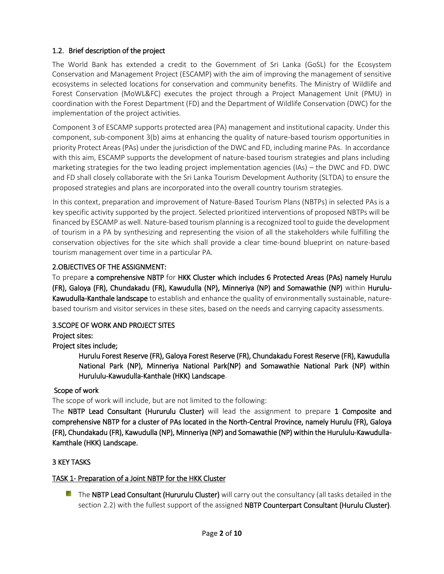# 1.2. Brief description of the project

The World Bank has extended a credit to the Government of Sri Lanka (GoSL) for the Ecosystem Conservation and Management Project (ESCAMP) with the aim of improving the management of sensitive ecosystems in selected locations for conservation and community benefits. The Ministry of Wildlife and Forest Conservation (MoWL&FC) executes the project through a Project Management Unit (PMU) in coordination with the Forest Department (FD) and the Department of Wildlife Conservation (DWC) for the implementation of the project activities.

Component 3 of ESCAMP supports protected area (PA) management and institutional capacity. Under this component, sub-component 3(b) aims at enhancing the quality of nature-based tourism opportunities in priority Protect Areas (PAs) under the jurisdiction of the DWC and FD, including marine PAs. In accordance with this aim, ESCAMP supports the development of nature-based tourism strategies and plans including marketing strategies for the two leading project implementation agencies (IAs) – the DWC and FD. DWC and FD shall closely collaborate with the Sri Lanka Tourism Development Authority (SLTDA) to ensure the proposed strategies and plans are incorporated into the overall country tourism strategies.

In this context, preparation and improvement of Nature-Based Tourism Plans (NBTPs) in selected PAs is a key specific activity supported by the project. Selected prioritized interventions of proposed NBTPs will be financed by ESCAMP as well. Nature-based tourism planning is a recognized tool to guide the development of tourism in a PA by synthesizing and representing the vision of all the stakeholders while fulfilling the conservation objectives for the site which shall provide a clear time-bound blueprint on nature-based tourism management over time in a particular PA.

# 2.OBJECTIVES OF THE ASSIGNMENT:

To prepare a comprehensive NBTP for HKK Cluster which includes 6 Protected Areas (PAs) namely Hurulu (FR), Galoya (FR), Chundakadu (FR), Kawudulla (NP), Minneriya (NP) and Somawathie (NP) within Hurulu-Kawudulla-Kanthale landscape to establish and enhance the quality of environmentally sustainable, naturebased tourism and visitor services in these sites, based on the needs and carrying capacity assessments.

# 3.SCOPE OF WORK AND PROJECT SITES

Project sites:

# Project sites include;

Hurulu Forest Reserve (FR), Galoya Forest Reserve (FR), Chundakadu Forest Reserve (FR), Kawudulla National Park (NP), Minneriya National Park(NP) and Somawathie National Park (NP) within Hurululu-Kawudulla-Kanthale (HKK) Landscape.

# Scope of work

The scope of work will include, but are not limited to the following:

The NBTP Lead Consultant (Hururulu Cluster) will lead the assignment to prepare 1 Composite and comprehensive NBTP for a cluster of PAs located in the North-Central Province, namely Hurulu (FR), Galoya (FR), Chundakadu (FR), Kawudulla (NP), Minneriya (NP) and Somawathie (NP) within the Hurululu-Kawudulla-Kamthale (HKK) Landscape.

# 3 KEY TASKS

# TASK 1- Preparation of a Joint NBTP for the HKK Cluster

 $\blacksquare$  The NBTP Lead Consultant (Hururulu Cluster) will carry out the consultancy (all tasks detailed in the section 2.2) with the fullest support of the assigned NBTP Counterpart Consultant (Hurulu Cluster).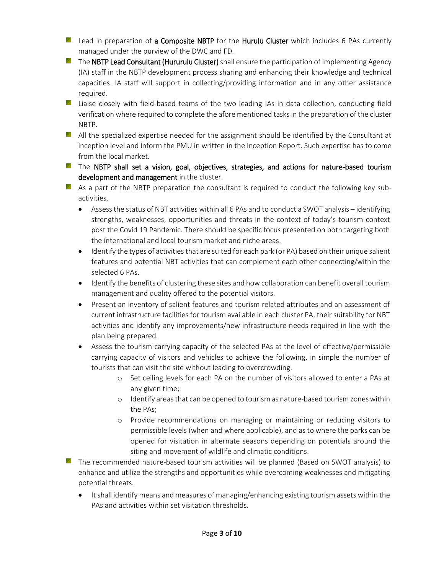- Lead in preparation of a Composite NBTP for the Hurulu Cluster which includes 6 PAs currently managed under the purview of the DWC and FD.
- $\blacksquare$  The NBTP Lead Consultant (Hururulu Cluster) shall ensure the participation of Implementing Agency (IA) staff in the NBTP development process sharing and enhancing their knowledge and technical capacities. IA staff will support in collecting/providing information and in any other assistance required.
- **L** Liaise closely with field-based teams of the two leading IAs in data collection, conducting field verification where required to complete the afore mentioned tasks in the preparation of the cluster NBTP.
- **All the specialized expertise needed for the assignment should be identified by the Consultant at** inception level and inform the PMU in written in the Inception Report. Such expertise has to come from the local market.
- The NBTP shall set a vision, goal, objectives, strategies, and actions for nature-based tourism development and management in the cluster.
- As a part of the NBTP preparation the consultant is required to conduct the following key subactivities.
	- Assess the status of NBT activities within all 6 PAs and to conduct a SWOT analysis identifying strengths, weaknesses, opportunities and threats in the context of today's tourism context post the Covid 19 Pandemic. There should be specific focus presented on both targeting both the international and local tourism market and niche areas.
	- Identify the types of activities that are suited for each park (or PA) based on their unique salient features and potential NBT activities that can complement each other connecting/within the selected 6 PAs.
	- Identify the benefits of clustering these sites and how collaboration can benefit overall tourism management and quality offered to the potential visitors.
	- Present an inventory of salient features and tourism related attributes and an assessment of current infrastructure facilities for tourism available in each cluster PA, their suitability for NBT activities and identify any improvements/new infrastructure needs required in line with the plan being prepared.
	- Assess the tourism carrying capacity of the selected PAs at the level of effective/permissible carrying capacity of visitors and vehicles to achieve the following, in simple the number of tourists that can visit the site without leading to overcrowding.
		- o Set ceiling levels for each PA on the number of visitors allowed to enter a PAs at any given time;
		- o Identify areas that can be opened to tourism as nature-based tourism zones within the PAs;
		- o Provide recommendations on managing or maintaining or reducing visitors to permissible levels (when and where applicable), and as to where the parks can be opened for visitation in alternate seasons depending on potentials around the siting and movement of wildlife and climatic conditions.
- **The recommended nature-based tourism activities will be planned (Based on SWOT analysis) to** enhance and utilize the strengths and opportunities while overcoming weaknesses and mitigating potential threats.
	- It shall identify means and measures of managing/enhancing existing tourism assets within the PAs and activities within set visitation thresholds.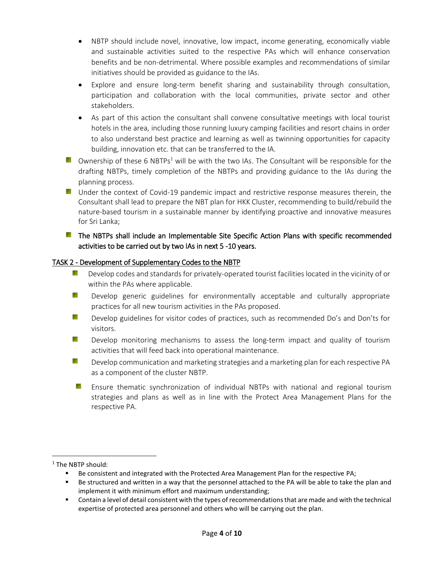- NBTP should include novel, innovative, low impact, income generating, economically viable and sustainable activities suited to the respective PAs which will enhance conservation benefits and be non-detrimental. Where possible examples and recommendations of similar initiatives should be provided as guidance to the IAs.
- Explore and ensure long-term benefit sharing and sustainability through consultation, participation and collaboration with the local communities, private sector and other stakeholders.
- As part of this action the consultant shall convene consultative meetings with local tourist hotels in the area, including those running luxury camping facilities and resort chains in order to also understand best practice and learning as well as twinning opportunities for capacity building, innovation etc. that can be transferred to the IA.
- **D** Ownership of these 6 NBTPs<sup>1</sup> will be with the two IAs. The Consultant will be responsible for the drafting NBTPs, timely completion of the NBTPs and providing guidance to the IAs during the planning process.
- **E** Under the context of Covid-19 pandemic impact and restrictive response measures therein, the Consultant shall lead to prepare the NBT plan for HKK Cluster, recommending to build/rebuild the nature-based tourism in a sustainable manner by identifying proactive and innovative measures for Sri Lanka;

## **The NBTPs shall include an Implementable Site Specific Action Plans with specific recommended** activities to be carried out by two IAs in next 5 -10 years.

### TASK 2 - Development of Supplementary Codes to the NBTP

- Y. Develop codes and standards for privately-operated tourist facilities located in the vicinity of or within the PAs where applicable.
- o. Develop generic guidelines for environmentally acceptable and culturally appropriate practices for all new tourism activities in the PAs proposed.
- ggi. Develop guidelines for visitor codes of practices, such as recommended Do's and Don'ts for visitors.
- y Develop monitoring mechanisms to assess the long-term impact and quality of tourism activities that will feed back into operational maintenance.
- o. Develop communication and marketing strategies and a marketing plan for each respective PA as a component of the cluster NBTP.
- **E** Ensure thematic synchronization of individual NBTPs with national and regional tourism strategies and plans as well as in line with the Protect Area Management Plans for the respective PA.

 $\overline{\phantom{a}}$ 

<sup>&</sup>lt;sup>1</sup> The NBTP should:

**Be consistent and integrated with the Protected Area Management Plan for the respective PA;** 

Be structured and written in a way that the personnel attached to the PA will be able to take the plan and implement it with minimum effort and maximum understanding;

Contain a level of detail consistent with the types of recommendations that are made and with the technical expertise of protected area personnel and others who will be carrying out the plan.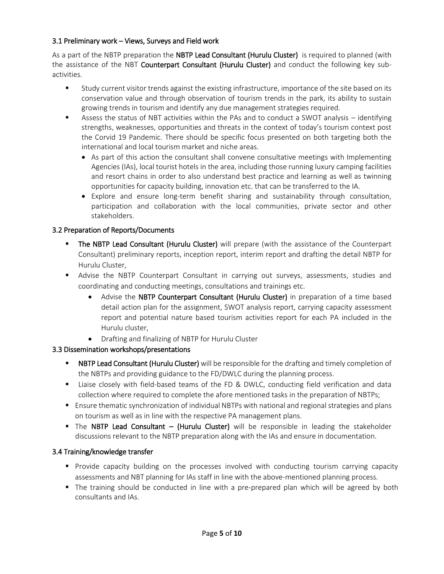## 3.1 Preliminary work – Views, Surveys and Field work

As a part of the NBTP preparation the NBTP Lead Consultant (Hurulu Cluster) is required to planned (with the assistance of the NBT Counterpart Consultant (Hurulu Cluster) and conduct the following key subactivities.

- Study current visitor trends against the existing infrastructure, importance of the site based on its conservation value and through observation of tourism trends in the park, its ability to sustain growing trends in tourism and identify any due management strategies required.
- Assess the status of NBT activities within the PAs and to conduct a SWOT analysis identifying strengths, weaknesses, opportunities and threats in the context of today's tourism context post the Corvid 19 Pandemic. There should be specific focus presented on both targeting both the international and local tourism market and niche areas.
	- As part of this action the consultant shall convene consultative meetings with Implementing Agencies (IAs), local tourist hotels in the area, including those running luxury camping facilities and resort chains in order to also understand best practice and learning as well as twinning opportunities for capacity building, innovation etc. that can be transferred to the IA.
	- Explore and ensure long-term benefit sharing and sustainability through consultation, participation and collaboration with the local communities, private sector and other stakeholders.

## 3.2 Preparation of Reports/Documents

- The NBTP Lead Consultant (Hurulu Cluster) will prepare (with the assistance of the Counterpart Consultant) preliminary reports, inception report, interim report and drafting the detail NBTP for Hurulu Cluster,
- Advise the NBTP Counterpart Consultant in carrying out surveys, assessments, studies and coordinating and conducting meetings, consultations and trainings etc.
	- Advise the NBTP Counterpart Consultant (Hurulu Cluster) in preparation of a time based detail action plan for the assignment, SWOT analysis report, carrying capacity assessment report and potential nature based tourism activities report for each PA included in the Hurulu cluster,
	- Drafting and finalizing of NBTP for Hurulu Cluster

# 3.3 Dissemination workshops/presentations

- **NBTP Lead Consultant (Hurulu Cluster)** will be responsible for the drafting and timely completion of the NBTPs and providing guidance to the FD/DWLC during the planning process.
- Liaise closely with field-based teams of the FD & DWLC, conducting field verification and data collection where required to complete the afore mentioned tasks in the preparation of NBTPs;
- Ensure thematic synchronization of individual NBTPs with national and regional strategies and plans on tourism as well as in line with the respective PA management plans.
- The NBTP Lead Consultant (Hurulu Cluster) will be responsible in leading the stakeholder discussions relevant to the NBTP preparation along with the IAs and ensure in documentation.

### 3.4 Training/knowledge transfer

- **Provide capacity building on the processes involved with conducting tourism carrying capacity** assessments and NBT planning for IAs staff in line with the above-mentioned planning process.
- The training should be conducted in line with a pre-prepared plan which will be agreed by both consultants and IAs.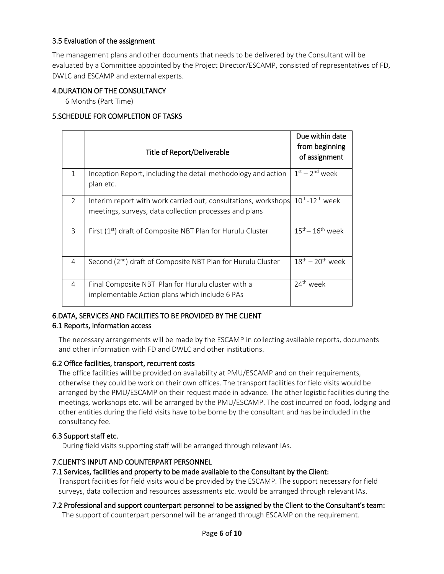## 3.5 Evaluation of the assignment

The management plans and other documents that needs to be delivered by the Consultant will be evaluated by a Committee appointed by the Project Director/ESCAMP, consisted of representatives of FD, DWLC and ESCAMP and external experts.

### 4.DURATION OF THE CONSULTANCY

6 Months (Part Time)

## 5.SCHEDULE FOR COMPLETION OF TASKS

|               | Title of Report/Deliverable                                                                                              | Due within date<br>from beginning<br>of assignment |
|---------------|--------------------------------------------------------------------------------------------------------------------------|----------------------------------------------------|
| 1             | Inception Report, including the detail methodology and action<br>plan etc.                                               | $1st - 2nd$ week                                   |
| $\mathcal{P}$ | Interim report with work carried out, consultations, workshops<br>meetings, surveys, data collection processes and plans | $10^{th}$ -12 <sup>th</sup> week                   |
| 3             | First $(1st)$ draft of Composite NBT Plan for Hurulu Cluster                                                             | $15^{\text{th}} - 16^{\text{th}}$ week             |
| 4             | Second (2 <sup>nd</sup> ) draft of Composite NBT Plan for Hurulu Cluster                                                 | $18th - 20th$ week                                 |
| 4             | Final Composite NBT Plan for Hurulu cluster with a<br>implementable Action plans which include 6 PAs                     | 24 <sup>th</sup> week                              |

# 6.DATA, SERVICES AND FACILITIES TO BE PROVIDED BY THE CLIENT

### 6.1 Reports, information access

The necessary arrangements will be made by the ESCAMP in collecting available reports, documents and other information with FD and DWLC and other institutions.

### 6.2 Office facilities, transport, recurrent costs

The office facilities will be provided on availability at PMU/ESCAMP and on their requirements, otherwise they could be work on their own offices. The transport facilities for field visits would be arranged by the PMU/ESCAMP on their request made in advance. The other logistic facilities during the meetings, workshops etc. will be arranged by the PMU/ESCAMP. The cost incurred on food, lodging and other entities during the field visits have to be borne by the consultant and has be included in the consultancy fee.

### 6.3 Support staff etc.

During field visits supporting staff will be arranged through relevant IAs.

### 7.CLIENT'S INPUT AND COUNTERPART PERSONNEL

### 7.1 Services, facilities and property to be made available to the Consultant by the Client:

Transport facilities for field visits would be provided by the ESCAMP. The support necessary for field surveys, data collection and resources assessments etc. would be arranged through relevant IAs.

### 7.2 Professional and support counterpart personnel to be assigned by the Client to the Consultant's team: The support of counterpart personnel will be arranged through ESCAMP on the requirement.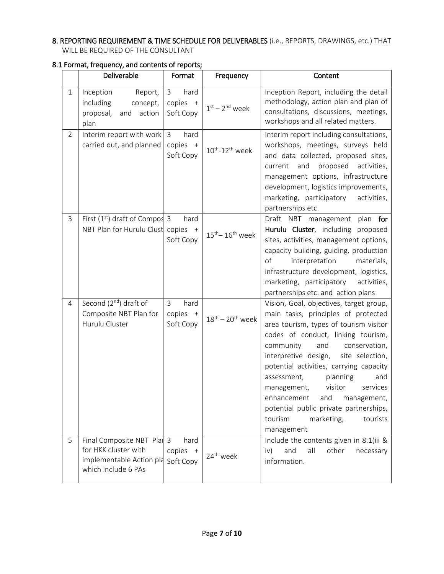# 8. REPORTING REQUIREMENT & TIME SCHEDULE FOR DELIVERABLES (i.e., REPORTS, DRAWINGS, etc.) THAT WILL BE REQUIRED OF THE CONSULTANT

|                | Deliverable                                                                                         | Format                                        | Frequency                              | Content                                                                                                                                                                                                                                                                                                                                                                                                                                                                                             |  |
|----------------|-----------------------------------------------------------------------------------------------------|-----------------------------------------------|----------------------------------------|-----------------------------------------------------------------------------------------------------------------------------------------------------------------------------------------------------------------------------------------------------------------------------------------------------------------------------------------------------------------------------------------------------------------------------------------------------------------------------------------------------|--|
| $\mathbf{1}$   | Inception<br>Report,<br>including<br>concept,<br>proposal,<br>and action<br>plan                    | hard<br>3<br>copies +<br>Soft Copy            | $1st - 2nd$ week                       | Inception Report, including the detail<br>methodology, action plan and plan of<br>consultations, discussions, meetings,<br>workshops and all related matters.                                                                                                                                                                                                                                                                                                                                       |  |
| $\overline{2}$ | Interim report with work<br>carried out, and planned                                                | hard<br>3<br>copies +<br>Soft Copy            | $10^{th}$ - $12^{th}$ week             | Interim report including consultations,<br>workshops, meetings, surveys held<br>and data collected, proposed sites,<br>proposed<br>current<br>and<br>activities,<br>management options, infrastructure<br>development, logistics improvements,<br>marketing, participatory<br>activities,<br>partnerships etc.                                                                                                                                                                                      |  |
| 3              | First $(1st)$ draft of Compos 3<br>NBT Plan for Hurulu Clust copies +                               | hard<br>Soft Copy                             | $15^{\text{th}} - 16^{\text{th}}$ week | Draft NBT management plan for<br>Hurulu Cluster, including proposed<br>sites, activities, management options,<br>capacity building, guiding, production<br>of<br>interpretation<br>materials,<br>infrastructure development, logistics,<br>marketing, participatory<br>activities,<br>partnerships etc. and action plans                                                                                                                                                                            |  |
| $\overline{4}$ | Second (2 <sup>nd</sup> ) draft of<br>Composite NBT Plan for<br>Hurulu Cluster                      | 3<br>hard<br>copies +<br>Soft Copy            | $18^{\text{th}} - 20^{\text{th}}$ week | Vision, Goal, objectives, target group,<br>main tasks, principles of protected<br>area tourism, types of tourism visitor<br>codes of conduct, linking tourism,<br>community<br>and<br>conservation,<br>interpretive design,<br>site selection,<br>potential activities, carrying capacity<br>planning<br>assessment,<br>and<br>visitor<br>services<br>management,<br>enhancement<br>and<br>management,<br>potential public private partnerships,<br>tourism<br>marketing,<br>tourists<br>management |  |
| 5              | Final Composite NBT Plat<br>for HKK cluster with<br>implementable Action pla<br>which include 6 PAs | hard<br>$\mathbf{3}$<br>copies +<br>Soft Copy | 24 <sup>th</sup> week                  | Include the contents given in 8.1(iii &<br>iv)<br>and<br>all<br>other<br>necessary<br>information.                                                                                                                                                                                                                                                                                                                                                                                                  |  |

### 8.1 Format, frequency, and contents of reports;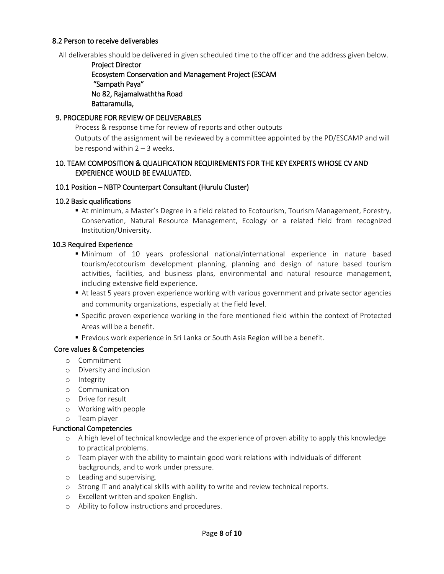#### 8.2 Person to receive deliverables

All deliverables should be delivered in given scheduled time to the officer and the address given below.

Project Director Ecosystem Conservation and Management Project (ESCAM "Sampath Paya" No 82, Rajamalwaththa Road Battaramulla,

#### 9. PROCEDURE FOR REVIEW OF DELIVERABLES

Process & response time for review of reports and other outputs Outputs of the assignment will be reviewed by a committee appointed by the PD/ESCAMP and will be respond within  $2 - 3$  weeks.

#### 10. TEAM COMPOSITION & QUALIFICATION REQUIREMENTS FOR THE KEY EXPERTS WHOSE CV AND EXPERIENCE WOULD BE EVALUATED.

#### 10.1 Position – NBTP Counterpart Consultant (Hurulu Cluster)

#### 10.2 Basic qualifications

 At minimum, a Master's Degree in a field related to Ecotourism, Tourism Management, Forestry, Conservation, Natural Resource Management, Ecology or a related field from recognized Institution/University.

#### 10.3 Required Experience

- Minimum of 10 years professional national/international experience in nature based tourism/ecotourism development planning, planning and design of nature based tourism activities, facilities, and business plans, environmental and natural resource management, including extensive field experience.
- At least 5 years proven experience working with various government and private sector agencies and community organizations, especially at the field level.
- **Specific proven experience working in the fore mentioned field within the context of Protected** Areas will be a benefit.
- Previous work experience in Sri Lanka or South Asia Region will be a benefit.

#### Core values & Competencies

- o Commitment
- o Diversity and inclusion
- o Integrity
- o Communication
- o Drive for result
- o Working with people
- o Team player

#### Functional Competencies

- o A high level of technical knowledge and the experience of proven ability to apply this knowledge to practical problems.
- o Team player with the ability to maintain good work relations with individuals of different backgrounds, and to work under pressure.
- o Leading and supervising.
- o Strong IT and analytical skills with ability to write and review technical reports.
- o Excellent written and spoken English.
- o Ability to follow instructions and procedures.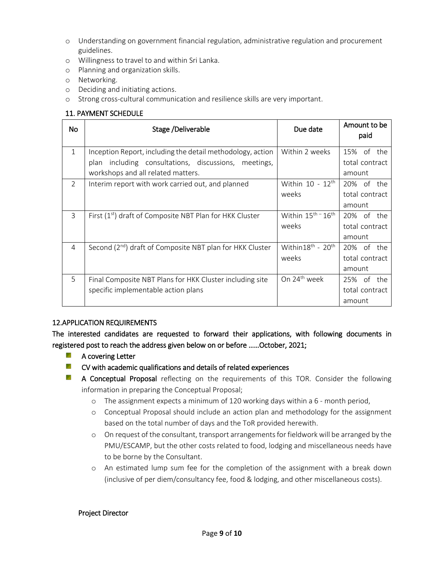- o Understanding on government financial regulation, administrative regulation and procurement guidelines.
- o Willingness to travel to and within Sri Lanka.
- o Planning and organization skills.
- o Networking.
- o Deciding and initiating actions.
- o Strong cross-cultural communication and resilience skills are very important.

## 11. PAYMENT SCHEDULE

| No           | Stage /Deliverable                                            | Due date                                   | Amount to be<br>paid |  |
|--------------|---------------------------------------------------------------|--------------------------------------------|----------------------|--|
| $\mathbf{1}$ | Inception Report, including the detail methodology, action    | Within 2 weeks                             | 15% of the           |  |
|              | including consultations, discussions, meetings,<br>plan       |                                            | total contract       |  |
|              | workshops and all related matters.                            |                                            | amount               |  |
| 2            | Interim report with work carried out, and planned             | Within $10 - 12$ <sup>th</sup>             | 20% of the           |  |
|              |                                                               | weeks                                      | total contract       |  |
|              |                                                               |                                            | amount               |  |
| 3            | First $(1st)$ draft of Composite NBT Plan for HKK Cluster     | Within 15 <sup>th -</sup> 16 <sup>th</sup> | 20% of the           |  |
|              |                                                               | weeks                                      | total contract       |  |
|              |                                                               |                                            | amount               |  |
| 4            | Second $(2^{nd})$ draft of Composite NBT plan for HKK Cluster | Within18 <sup>th</sup> - 20 <sup>th</sup>  | 20% of the           |  |
|              |                                                               | weeks                                      | total contract       |  |
|              |                                                               |                                            | amount               |  |
| 5            | Final Composite NBT Plans for HKK Cluster including site      | On 24 <sup>th</sup> week                   | 25% of the           |  |
|              | specific implementable action plans                           |                                            | total contract       |  |
|              |                                                               |                                            | amount               |  |

### 12.APPLICATION REQUIREMENTS

The interested candidates are requested to forward their applications, with following documents in registered post to reach the address given below on or before ……October, 2021;

- **Service** A covering Letter
- **Executive** CV with academic qualifications and details of related experiences
- **Marine** A Conceptual Proposal reflecting on the requirements of this TOR. Consider the following information in preparing the Conceptual Proposal;
	- o The assignment expects a minimum of 120 working days within a 6 month period,
	- o Conceptual Proposal should include an action plan and methodology for the assignment based on the total number of days and the ToR provided herewith.
	- o On request of the consultant, transport arrangements for fieldwork will be arranged by the PMU/ESCAMP, but the other costs related to food, lodging and miscellaneous needs have to be borne by the Consultant.
	- o An estimated lump sum fee for the completion of the assignment with a break down (inclusive of per diem/consultancy fee, food & lodging, and other miscellaneous costs).

### Project Director